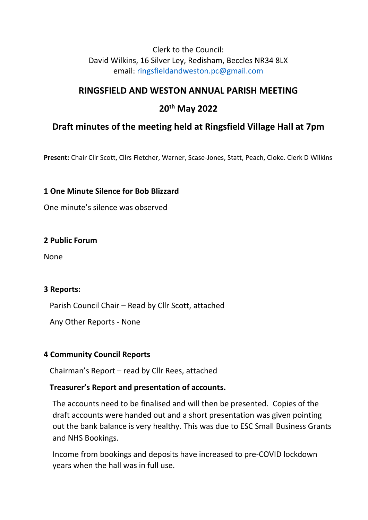### Clerk to the Council: David Wilkins, 16 Silver Ley, Redisham, Beccles NR34 8LX email: [ringsfieldandweston.pc@gmail.com](mailto:ringsfieldandweston.pc@gmail.com)

## **RINGSFIELD AND WESTON ANNUAL PARISH MEETING**

## **20th May 2022**

# **Draft minutes of the meeting held at Ringsfield Village Hall at 7pm**

**Present:** Chair Cllr Scott, Cllrs Fletcher, Warner, Scase-Jones, Statt, Peach, Cloke. Clerk D Wilkins

### **1 One Minute Silence for Bob Blizzard**

One minute's silence was observed

#### **2 Public Forum**

None

#### **3 Reports:**

Parish Council Chair – Read by Cllr Scott, attached

Any Other Reports - None

## **4 Community Council Reports**

Chairman's Report – read by Cllr Rees, attached

## **Treasurer's Report and presentation of accounts.**

The accounts need to be finalised and will then be presented. Copies of the draft accounts were handed out and a short presentation was given pointing out the bank balance is very healthy. This was due to ESC Small Business Grants and NHS Bookings.

Income from bookings and deposits have increased to pre-COVID lockdown years when the hall was in full use.